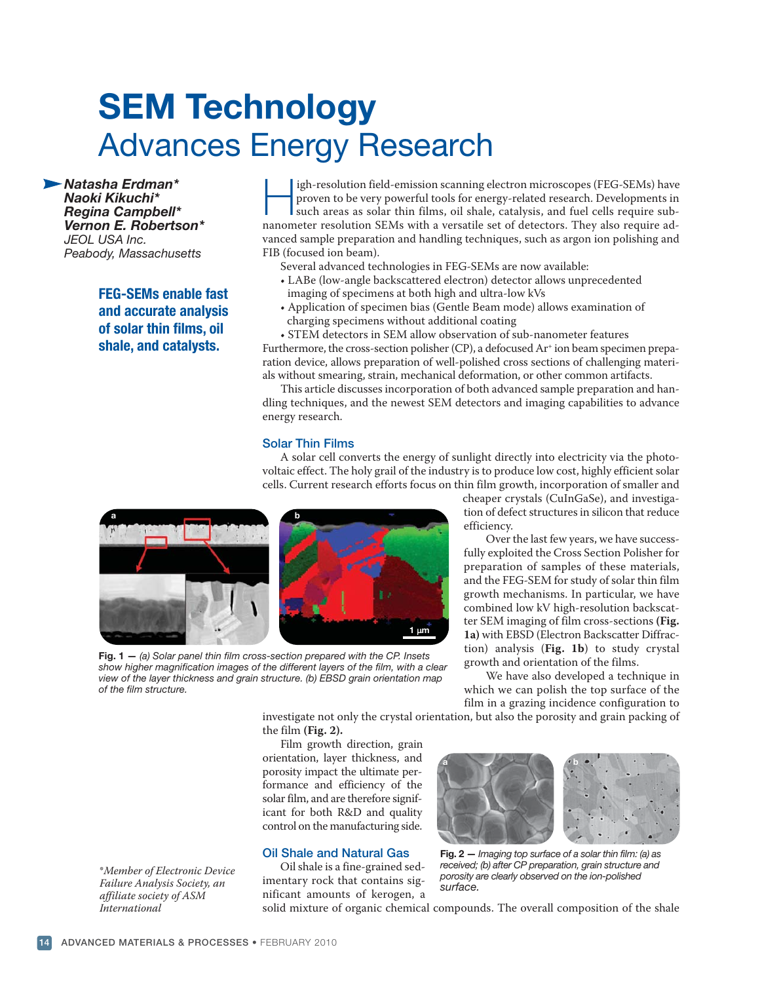# **SEM Technology** Advances Energy Research

**Natasha Erdman\* Naoki Kikuchi\* Regina Campbell\* Vernon E. Robertson\*** JEOL USA Inc. Peabody, Massachusetts

> **FEG-SEMs enable fast and accurate analysis of solar thin films, oil shale, and catalysts.**

igh-resolution field-emission scanning electron microscopes (FEG-SEMs) have proven to be very powerful tools for energy-related research. Developments in such areas as solar thin films, oil shale, catalysis, and fuel cells require subnanometer resolution SEMs with a versatile set of detectors. They also require advanced sample preparation and handling techniques, such as argon ion polishing and FIB (focused ion beam).

- Several advanced technologies in FEG-SEMs are now available:
- LABe (low-angle backscattered electron) detector allows unprecedented imaging of specimens at both high and ultra-low kVs
- Application of specimen bias (Gentle Beam mode) allows examination of charging specimens without additional coating

• STEM detectors in SEM allow observation of sub-nanometer features Furthermore, the cross-section polisher (CP), a defocused Ar<sup>+</sup> ion beam specimen preparation device, allows preparation of well-polished cross sections of challenging materials without smearing, strain, mechanical deformation, or other common artifacts.

This article discusses incorporation of both advanced sample preparation and handling techniques, and the newest SEM detectors and imaging capabilities to advance energy research.

## **Solar Thin Films**

A solar cell converts the energy of sunlight directly into electricity via the photovoltaic effect. The holy grail of the industry is to produce low cost, highly efficient solar cells. Current research efforts focus on thin film growth, incorporation of smaller and



**Fig. 1 —** (a) Solar panel thin film cross-section prepared with the CP. Insets show higher magnification images of the different layers of the film, with a clear view of the layer thickness and grain structure. (b) EBSD grain orientation map of the film structure.

cheaper crystals (CuInGaSe), and investigation of defect structures in silicon that reduce efficiency.

Over the last few years, we have successfully exploited the Cross Section Polisher for preparation of samples of these materials, and the FEG-SEM for study of solar thin film growth mechanisms. In particular, we have combined low kV high-resolution backscatter SEM imaging of film cross-sections **(Fig. 1a)** with EBSD (Electron Backscatter Diffraction) analysis (**Fig. 1b**) to study crystal growth and orientation of the films.

We have also developed a technique in which we can polish the top surface of the film in a grazing incidence configuration to

investigate not only the crystal orientation, but also the porosity and grain packing of the film **(Fig. 2).**

Film growth direction, grain orientation, layer thickness, and porosity impact the ultimate performance and efficiency of the solar film, and are therefore significant for both R&D and quality control on the manufacturing side.

## **Oil Shale and Natural Gas**

\*Member of Electronic Device Failure Analysis Society, an affiliate society of ASM International

Oil shale is a fine-grained sedimentary rock that contains significant amounts of kerogen, a



**Fig. 2 —** Imaging top surface of a solar thin film: (a) as received; (b) after CP preparation, grain structure and porosity are clearly observed on the ion-polished surface.

solid mixture of organic chemical compounds. The overall composition of the shale